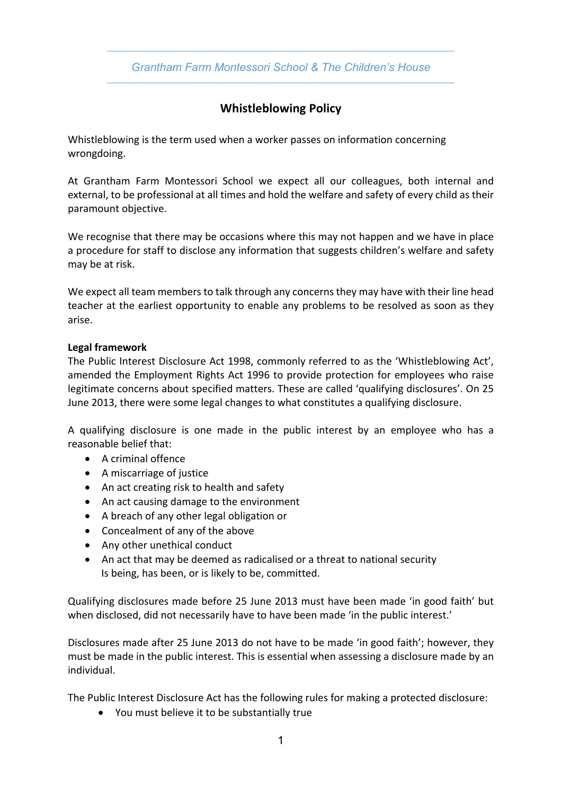*Grantham Farm Montessori School & The Children's House*

# **Whistleblowing Policy**

Whistleblowing is the term used when a worker passes on information concerning wrongdoing.

At Grantham Farm Montessori School we expect all our colleagues, both internal and external, to be professional at all times and hold the welfare and safety of every child as their paramount objective.

We recognise that there may be occasions where this may not happen and we have in place a procedure for staff to disclose any information that suggests children's welfare and safety may be at risk.

We expect all team members to talk through any concerns they may have with their line head teacher at the earliest opportunity to enable any problems to be resolved as soon as they arise.

#### **Legal framework**

The Public Interest Disclosure Act 1998, commonly referred to as the 'Whistleblowing Act', amended the Employment Rights Act 1996 to provide protection for employees who raise legitimate concerns about specified matters. These are called 'qualifying disclosures'. On 25 June 2013, there were some legal changes to what constitutes a qualifying disclosure.

A qualifying disclosure is one made in the public interest by an employee who has a reasonable belief that:

- A criminal offence
- A miscarriage of justice
- An act creating risk to health and safety
- An act causing damage to the environment
- A breach of any other legal obligation or
- Concealment of any of the above
- Any other unethical conduct
- An act that may be deemed as radicalised or a threat to national security Is being, has been, or is likely to be, committed.

Qualifying disclosures made before 25 June 2013 must have been made 'in good faith' but when disclosed, did not necessarily have to have been made 'in the public interest.'

Disclosures made after 25 June 2013 do not have to be made 'in good faith'; however, they must be made in the public interest. This is essential when assessing a disclosure made by an individual.

The Public Interest Disclosure Act has the following rules for making a protected disclosure:

• You must believe it to be substantially true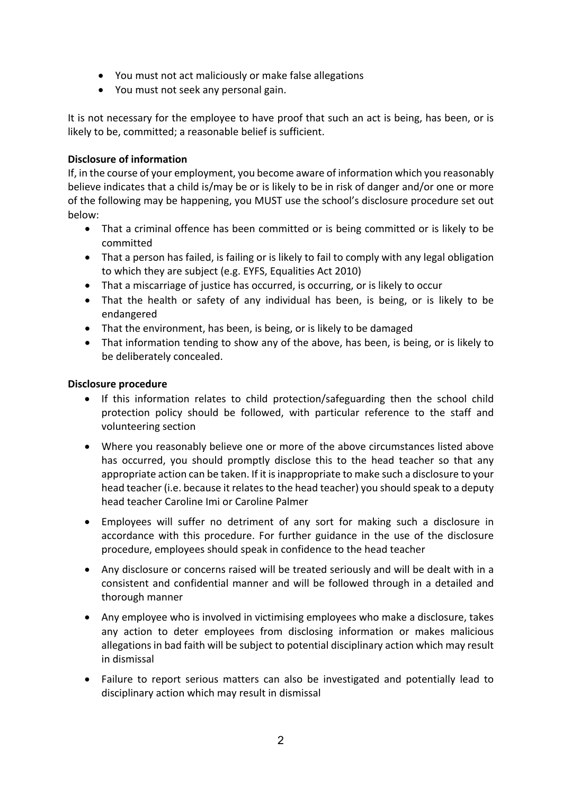- You must not act maliciously or make false allegations
- You must not seek any personal gain.

It is not necessary for the employee to have proof that such an act is being, has been, or is likely to be, committed; a reasonable belief is sufficient.

### **Disclosure of information**

If, in the course of your employment, you become aware of information which you reasonably believe indicates that a child is/may be or is likely to be in risk of danger and/or one or more of the following may be happening, you MUST use the school's disclosure procedure set out below:

- That a criminal offence has been committed or is being committed or is likely to be committed
- That a person has failed, is failing or is likely to fail to comply with any legal obligation to which they are subject (e.g. EYFS, Equalities Act 2010)
- That a miscarriage of justice has occurred, is occurring, or is likely to occur
- That the health or safety of any individual has been, is being, or is likely to be endangered
- That the environment, has been, is being, or is likely to be damaged
- That information tending to show any of the above, has been, is being, or is likely to be deliberately concealed.

#### **Disclosure procedure**

- If this information relates to child protection/safeguarding then the school child protection policy should be followed, with particular reference to the staff and volunteering section
- Where you reasonably believe one or more of the above circumstances listed above has occurred, you should promptly disclose this to the head teacher so that any appropriate action can be taken. If it is inappropriate to make such a disclosure to your head teacher (i.e. because it relates to the head teacher) you should speak to a deputy head teacher Caroline Imi or Caroline Palmer
- Employees will suffer no detriment of any sort for making such a disclosure in accordance with this procedure. For further guidance in the use of the disclosure procedure, employees should speak in confidence to the head teacher
- Any disclosure or concerns raised will be treated seriously and will be dealt with in a consistent and confidential manner and will be followed through in a detailed and thorough manner
- Any employee who is involved in victimising employees who make a disclosure, takes any action to deter employees from disclosing information or makes malicious allegations in bad faith will be subject to potential disciplinary action which may result in dismissal
- Failure to report serious matters can also be investigated and potentially lead to disciplinary action which may result in dismissal